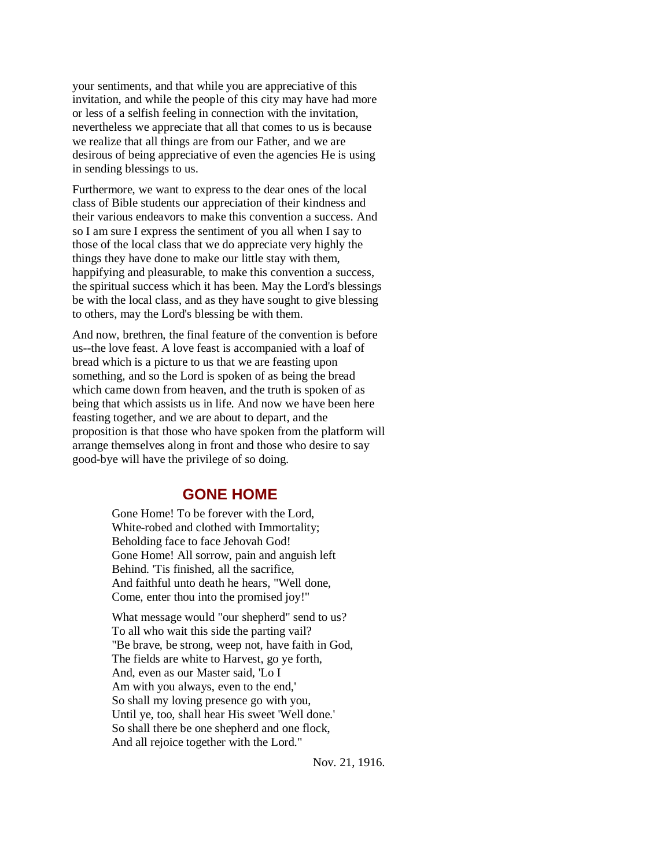your sentiments, and that while you are appreciative of this invitation, and while the people of this city may have had more or less of a selfish feeling in connection with the invitation, nevertheless we appreciate that all that comes to us is because we realize that all things are from our Father, and we are desirous of being appreciative of even the agencies He is using in sending blessings to us.

Furthermore, we want to express to the dear ones of the local class of Bible students our appreciation of their kindness and their various endeavors to make this convention a success. And so I am sure I express the sentiment of you all when I say to those of the local class that we do appreciate very highly the things they have done to make our little stay with them, happifying and pleasurable, to make this convention a success, the spiritual success which it has been. May the Lord's blessings be with the local class, and as they have sought to give blessing to others, may the Lord's blessing be with them.

And now, brethren, the final feature of the convention is before us--the love feast. A love feast is accompanied with a loaf of bread which is a picture to us that we are feasting upon something, and so the Lord is spoken of as being the bread which came down from heaven, and the truth is spoken of as being that which assists us in life. And now we have been here feasting together, and we are about to depart, and the proposition is that those who have spoken from the platform will arrange themselves along in front and those who desire to say good-bye will have the privilege of so doing.

# **GONE HOME**

Gone Home! To be forever with the Lord, White-robed and clothed with Immortality; Beholding face to face Jehovah God! Gone Home! All sorrow, pain and anguish left Behind. 'Tis finished, all the sacrifice, And faithful unto death he hears, "Well done, Come, enter thou into the promised joy!"

What message would "our shepherd" send to us? To all who wait this side the parting vail? "Be brave, be strong, weep not, have faith in God, The fields are white to Harvest, go ye forth, And, even as our Master said, 'Lo I Am with you always, even to the end,' So shall my loving presence go with you, Until ye, too, shall hear His sweet 'Well done.' So shall there be one shepherd and one flock, And all rejoice together with the Lord."

Nov. 21, 1916.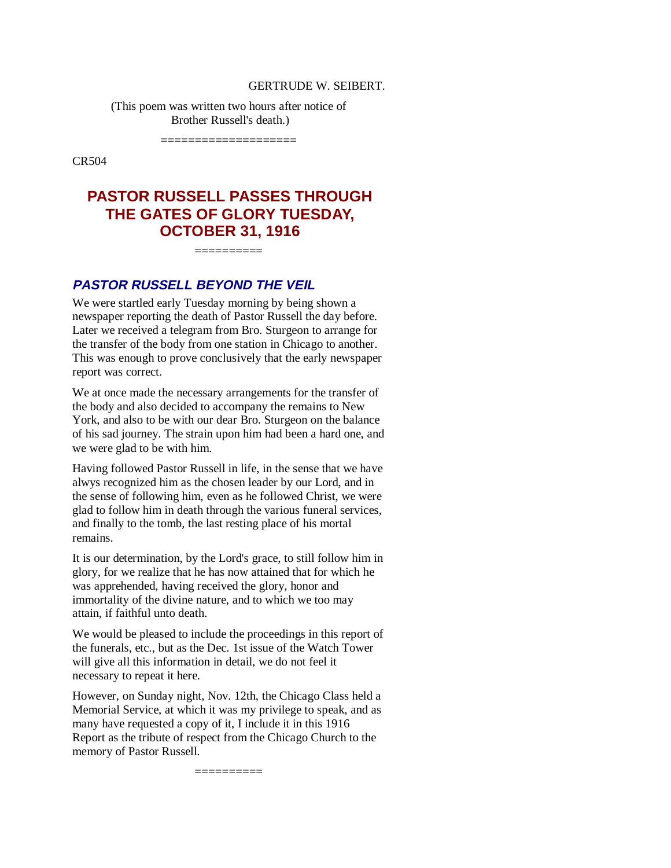#### GERTRUDE W. SEIBERT.

(This poem was written two hours after notice of Brother Russell's death.)

====================

CR504

# **PASTOR RUSSELL PASSES THROUGH THE GATES OF GLORY TUESDAY, OCTOBER 31, 1916**

 $=$ 

# **PASTOR RUSSELL BEYOND THE VEIL**

We were startled early Tuesday morning by being shown a newspaper reporting the death of Pastor Russell the day before. Later we received a telegram from Bro. Sturgeon to arrange for the transfer of the body from one station in Chicago to another. This was enough to prove conclusively that the early newspaper report was correct.

We at once made the necessary arrangements for the transfer of the body and also decided to accompany the remains to New York, and also to be with our dear Bro. Sturgeon on the balance of his sad journey. The strain upon him had been a hard one, and we were glad to be with him.

Having followed Pastor Russell in life, in the sense that we have alwys recognized him as the chosen leader by our Lord, and in the sense of following him, even as he followed Christ, we were glad to follow him in death through the various funeral services, and finally to the tomb, the last resting place of his mortal remains.

It is our determination, by the Lord's grace, to still follow him in glory, for we realize that he has now attained that for which he was apprehended, having received the glory, honor and immortality of the divine nature, and to which we too may attain, if faithful unto death.

We would be pleased to include the proceedings in this report of the funerals, etc., but as the Dec. 1st issue of the Watch Tower will give all this information in detail, we do not feel it necessary to repeat it here.

However, on Sunday night, Nov. 12th, the Chicago Class held a Memorial Service, at which it was my privilege to speak, and as many have requested a copy of it, I include it in this 1916 Report as the tribute of respect from the Chicago Church to the memory of Pastor Russell.

==========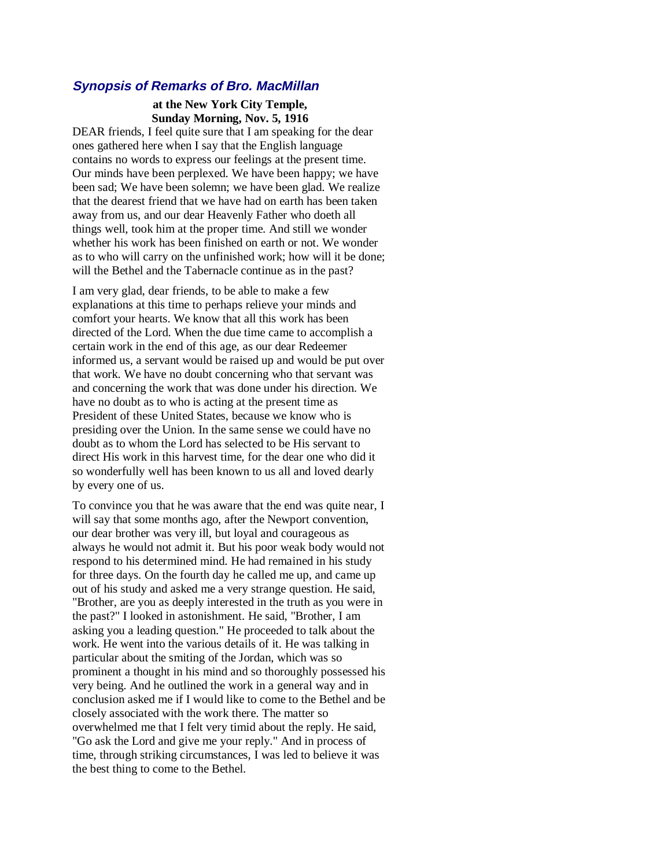#### **Synopsis of Remarks of Bro. MacMillan**

#### **at the New York City Temple, Sunday Morning, Nov. 5, 1916**

DEAR friends, I feel quite sure that I am speaking for the dear ones gathered here when I say that the English language contains no words to express our feelings at the present time. Our minds have been perplexed. We have been happy; we have been sad; We have been solemn; we have been glad. We realize that the dearest friend that we have had on earth has been taken away from us, and our dear Heavenly Father who doeth all things well, took him at the proper time. And still we wonder whether his work has been finished on earth or not. We wonder as to who will carry on the unfinished work; how will it be done; will the Bethel and the Tabernacle continue as in the past?

I am very glad, dear friends, to be able to make a few explanations at this time to perhaps relieve your minds and comfort your hearts. We know that all this work has been directed of the Lord. When the due time came to accomplish a certain work in the end of this age, as our dear Redeemer informed us, a servant would be raised up and would be put over that work. We have no doubt concerning who that servant was and concerning the work that was done under his direction. We have no doubt as to who is acting at the present time as President of these United States, because we know who is presiding over the Union. In the same sense we could have no doubt as to whom the Lord has selected to be His servant to direct His work in this harvest time, for the dear one who did it so wonderfully well has been known to us all and loved dearly by every one of us.

To convince you that he was aware that the end was quite near, I will say that some months ago, after the Newport convention, our dear brother was very ill, but loyal and courageous as always he would not admit it. But his poor weak body would not respond to his determined mind. He had remained in his study for three days. On the fourth day he called me up, and came up out of his study and asked me a very strange question. He said, "Brother, are you as deeply interested in the truth as you were in the past?" I looked in astonishment. He said, "Brother, I am asking you a leading question." He proceeded to talk about the work. He went into the various details of it. He was talking in particular about the smiting of the Jordan, which was so prominent a thought in his mind and so thoroughly possessed his very being. And he outlined the work in a general way and in conclusion asked me if I would like to come to the Bethel and be closely associated with the work there. The matter so overwhelmed me that I felt very timid about the reply. He said, "Go ask the Lord and give me your reply." And in process of time, through striking circumstances, I was led to believe it was the best thing to come to the Bethel.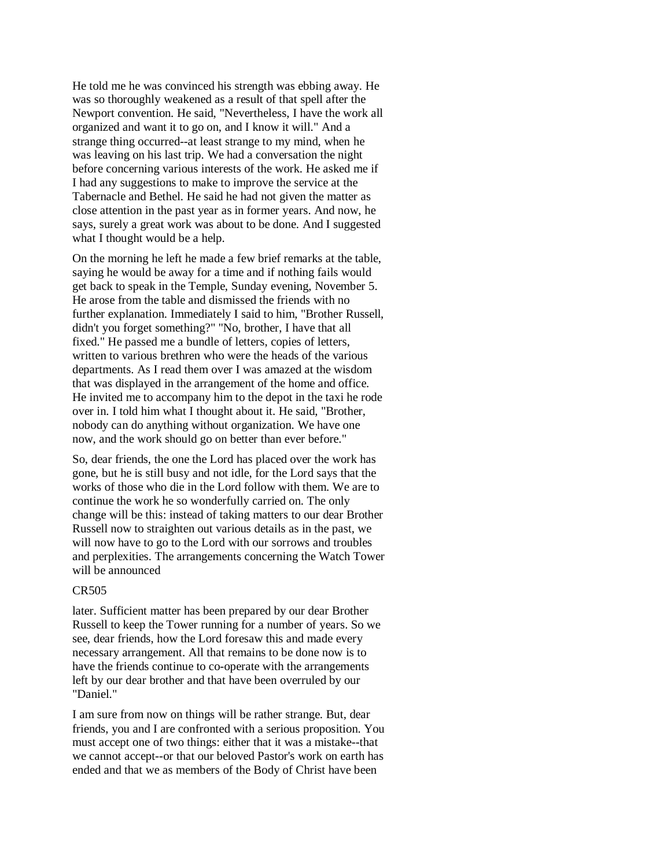He told me he was convinced his strength was ebbing away. He was so thoroughly weakened as a result of that spell after the Newport convention. He said, "Nevertheless, I have the work all organized and want it to go on, and I know it will." And a strange thing occurred--at least strange to my mind, when he was leaving on his last trip. We had a conversation the night before concerning various interests of the work. He asked me if I had any suggestions to make to improve the service at the Tabernacle and Bethel. He said he had not given the matter as close attention in the past year as in former years. And now, he says, surely a great work was about to be done. And I suggested what I thought would be a help.

On the morning he left he made a few brief remarks at the table, saying he would be away for a time and if nothing fails would get back to speak in the Temple, Sunday evening, November 5. He arose from the table and dismissed the friends with no further explanation. Immediately I said to him, "Brother Russell, didn't you forget something?" "No, brother, I have that all fixed." He passed me a bundle of letters, copies of letters, written to various brethren who were the heads of the various departments. As I read them over I was amazed at the wisdom that was displayed in the arrangement of the home and office. He invited me to accompany him to the depot in the taxi he rode over in. I told him what I thought about it. He said, "Brother, nobody can do anything without organization. We have one now, and the work should go on better than ever before."

So, dear friends, the one the Lord has placed over the work has gone, but he is still busy and not idle, for the Lord says that the works of those who die in the Lord follow with them. We are to continue the work he so wonderfully carried on. The only change will be this: instead of taking matters to our dear Brother Russell now to straighten out various details as in the past, we will now have to go to the Lord with our sorrows and troubles and perplexities. The arrangements concerning the Watch Tower will be announced

#### CR505

later. Sufficient matter has been prepared by our dear Brother Russell to keep the Tower running for a number of years. So we see, dear friends, how the Lord foresaw this and made every necessary arrangement. All that remains to be done now is to have the friends continue to co-operate with the arrangements left by our dear brother and that have been overruled by our "Daniel."

I am sure from now on things will be rather strange. But, dear friends, you and I are confronted with a serious proposition. You must accept one of two things: either that it was a mistake--that we cannot accept--or that our beloved Pastor's work on earth has ended and that we as members of the Body of Christ have been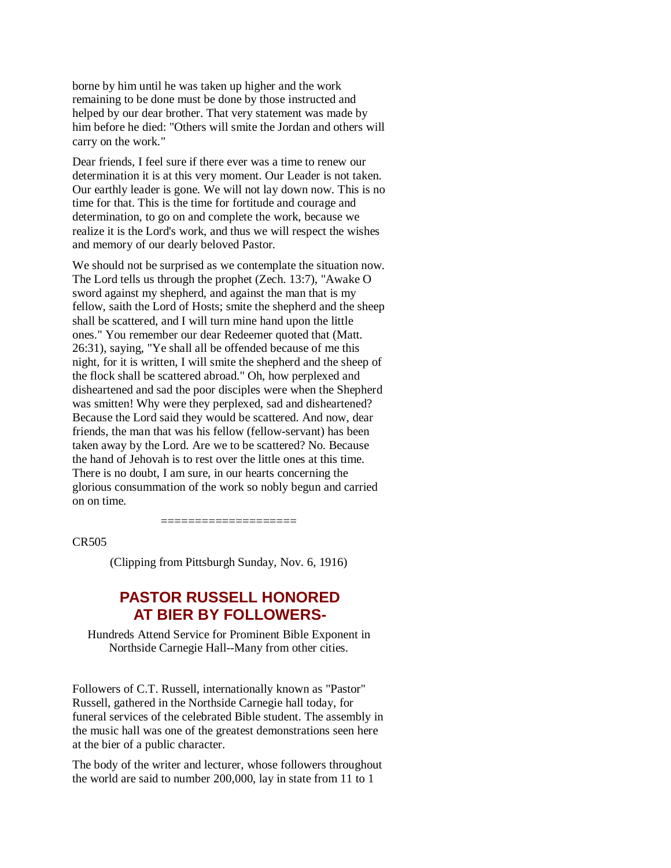borne by him until he was taken up higher and the work remaining to be done must be done by those instructed and helped by our dear brother. That very statement was made by him before he died: "Others will smite the Jordan and others will carry on the work."

Dear friends, I feel sure if there ever was a time to renew our determination it is at this very moment. Our Leader is not taken. Our earthly leader is gone. We will not lay down now. This is no time for that. This is the time for fortitude and courage and determination, to go on and complete the work, because we realize it is the Lord's work, and thus we will respect the wishes and memory of our dearly beloved Pastor.

We should not be surprised as we contemplate the situation now. The Lord tells us through the prophet (Zech. 13:7), "Awake O sword against my shepherd, and against the man that is my fellow, saith the Lord of Hosts; smite the shepherd and the sheep shall be scattered, and I will turn mine hand upon the little ones." You remember our dear Redeemer quoted that (Matt. 26:31), saying, "Ye shall all be offended because of me this night, for it is written, I will smite the shepherd and the sheep of the flock shall be scattered abroad." Oh, how perplexed and disheartened and sad the poor disciples were when the Shepherd was smitten! Why were they perplexed, sad and disheartened? Because the Lord said they would be scattered. And now, dear friends, the man that was his fellow (fellow-servant) has been taken away by the Lord. Are we to be scattered? No. Because the hand of Jehovah is to rest over the little ones at this time. There is no doubt, I am sure, in our hearts concerning the glorious consummation of the work so nobly begun and carried on on time.

CR505

(Clipping from Pittsburgh Sunday, Nov. 6, 1916)

====================

# **PASTOR RUSSELL HONORED AT BIER BY FOLLOWERS-**

Hundreds Attend Service for Prominent Bible Exponent in Northside Carnegie Hall--Many from other cities.

Followers of C.T. Russell, internationally known as "Pastor" Russell, gathered in the Northside Carnegie hall today, for funeral services of the celebrated Bible student. The assembly in the music hall was one of the greatest demonstrations seen here at the bier of a public character.

The body of the writer and lecturer, whose followers throughout the world are said to number 200,000, lay in state from 11 to 1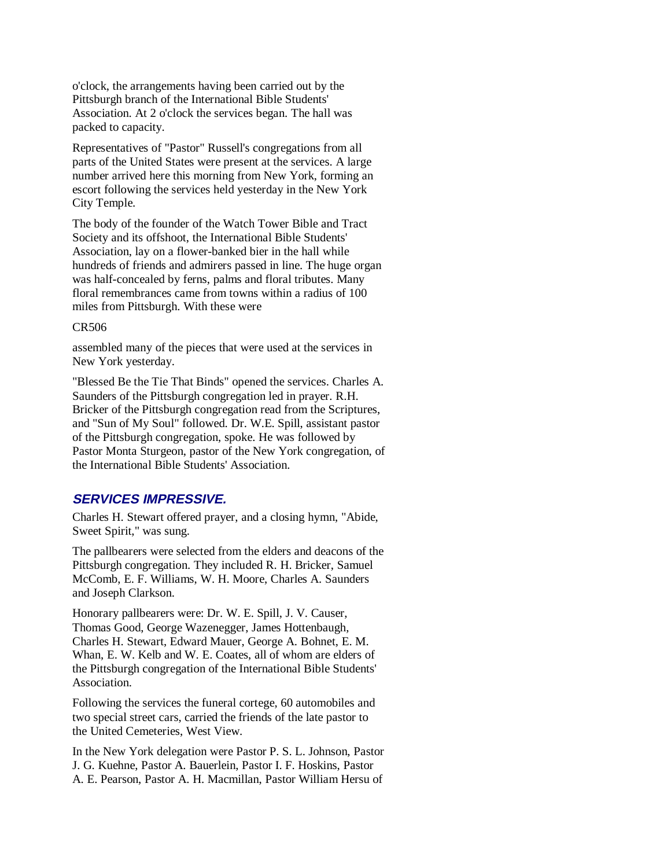o'clock, the arrangements having been carried out by the Pittsburgh branch of the International Bible Students' Association. At 2 o'clock the services began. The hall was packed to capacity.

Representatives of "Pastor" Russell's congregations from all parts of the United States were present at the services. A large number arrived here this morning from New York, forming an escort following the services held yesterday in the New York City Temple.

The body of the founder of the Watch Tower Bible and Tract Society and its offshoot, the International Bible Students' Association, lay on a flower-banked bier in the hall while hundreds of friends and admirers passed in line. The huge organ was half-concealed by ferns, palms and floral tributes. Many floral remembrances came from towns within a radius of 100 miles from Pittsburgh. With these were

#### CR506

assembled many of the pieces that were used at the services in New York yesterday.

"Blessed Be the Tie That Binds" opened the services. Charles A. Saunders of the Pittsburgh congregation led in prayer. R.H. Bricker of the Pittsburgh congregation read from the Scriptures, and "Sun of My Soul" followed. Dr. W.E. Spill, assistant pastor of the Pittsburgh congregation, spoke. He was followed by Pastor Monta Sturgeon, pastor of the New York congregation, of the International Bible Students' Association.

#### **SERVICES IMPRESSIVE.**

Charles H. Stewart offered prayer, and a closing hymn, "Abide, Sweet Spirit," was sung.

The pallbearers were selected from the elders and deacons of the Pittsburgh congregation. They included R. H. Bricker, Samuel McComb, E. F. Williams, W. H. Moore, Charles A. Saunders and Joseph Clarkson.

Honorary pallbearers were: Dr. W. E. Spill, J. V. Causer, Thomas Good, George Wazenegger, James Hottenbaugh, Charles H. Stewart, Edward Mauer, George A. Bohnet, E. M. Whan, E. W. Kelb and W. E. Coates, all of whom are elders of the Pittsburgh congregation of the International Bible Students' Association.

Following the services the funeral cortege, 60 automobiles and two special street cars, carried the friends of the late pastor to the United Cemeteries, West View.

In the New York delegation were Pastor P. S. L. Johnson, Pastor J. G. Kuehne, Pastor A. Bauerlein, Pastor I. F. Hoskins, Pastor A. E. Pearson, Pastor A. H. Macmillan, Pastor William Hersu of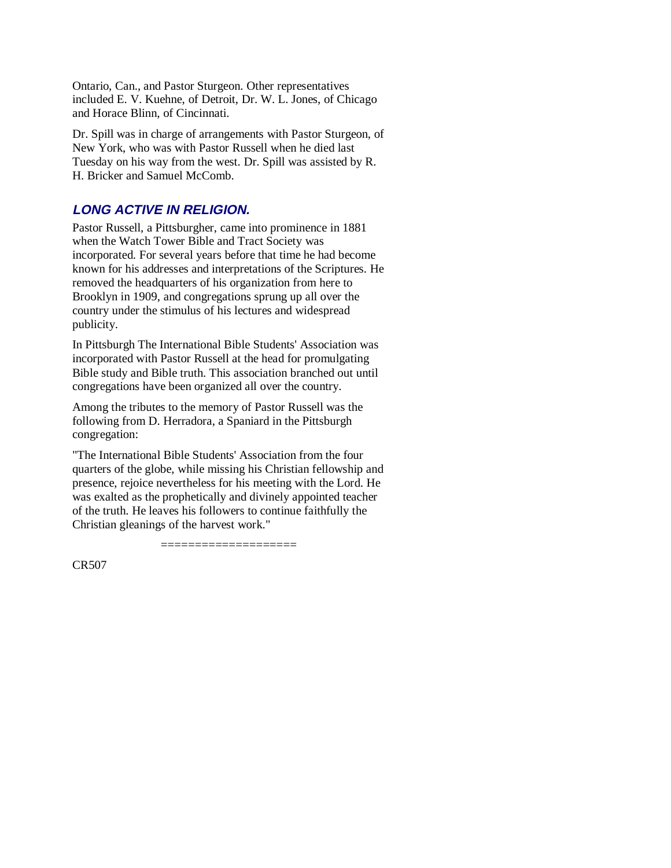Ontario, Can., and Pastor Sturgeon. Other representatives included E. V. Kuehne, of Detroit, Dr. W. L. Jones, of Chicago and Horace Blinn, of Cincinnati.

Dr. Spill was in charge of arrangements with Pastor Sturgeon, of New York, who was with Pastor Russell when he died last Tuesday on his way from the west. Dr. Spill was assisted by R. H. Bricker and Samuel McComb.

# **LONG ACTIVE IN RELIGION.**

Pastor Russell, a Pittsburgher, came into prominence in 1881 when the Watch Tower Bible and Tract Society was incorporated. For several years before that time he had become known for his addresses and interpretations of the Scriptures. He removed the headquarters of his organization from here to Brooklyn in 1909, and congregations sprung up all over the country under the stimulus of his lectures and widespread publicity.

In Pittsburgh The International Bible Students' Association was incorporated with Pastor Russell at the head for promulgating Bible study and Bible truth. This association branched out until congregations have been organized all over the country.

Among the tributes to the memory of Pastor Russell was the following from D. Herradora, a Spaniard in the Pittsburgh congregation:

"The International Bible Students' Association from the four quarters of the globe, while missing his Christian fellowship and presence, rejoice nevertheless for his meeting with the Lord. He was exalted as the prophetically and divinely appointed teacher of the truth. He leaves his followers to continue faithfully the Christian gleanings of the harvest work."

====================

CR507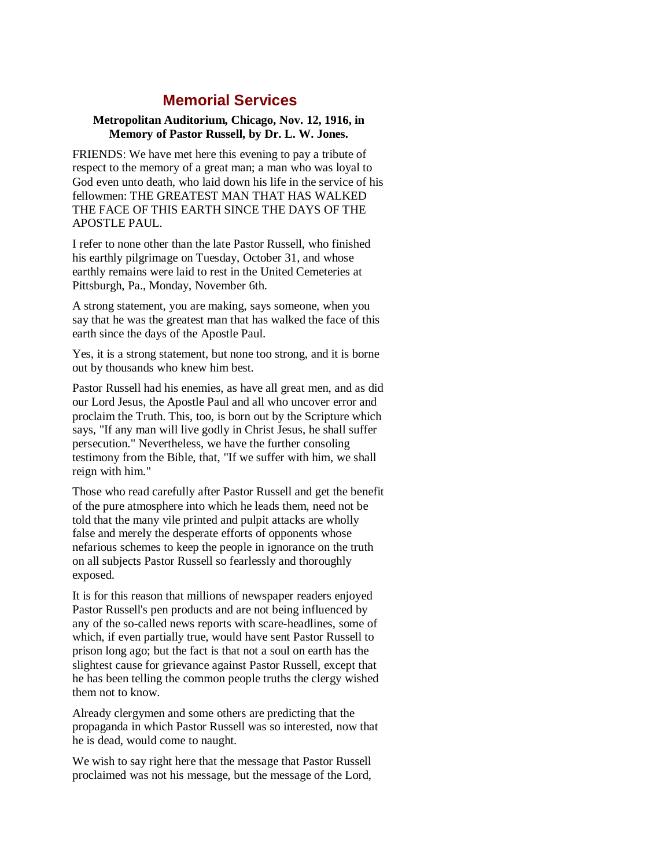# **Memorial Services**

#### **Metropolitan Auditorium, Chicago, Nov. 12, 1916, in Memory of Pastor Russell, by Dr. L. W. Jones.**

FRIENDS: We have met here this evening to pay a tribute of respect to the memory of a great man; a man who was loyal to God even unto death, who laid down his life in the service of his fellowmen: THE GREATEST MAN THAT HAS WALKED THE FACE OF THIS EARTH SINCE THE DAYS OF THE APOSTLE PAUL.

I refer to none other than the late Pastor Russell, who finished his earthly pilgrimage on Tuesday, October 31, and whose earthly remains were laid to rest in the United Cemeteries at Pittsburgh, Pa., Monday, November 6th.

A strong statement, you are making, says someone, when you say that he was the greatest man that has walked the face of this earth since the days of the Apostle Paul.

Yes, it is a strong statement, but none too strong, and it is borne out by thousands who knew him best.

Pastor Russell had his enemies, as have all great men, and as did our Lord Jesus, the Apostle Paul and all who uncover error and proclaim the Truth. This, too, is born out by the Scripture which says, "If any man will live godly in Christ Jesus, he shall suffer persecution." Nevertheless, we have the further consoling testimony from the Bible, that, "If we suffer with him, we shall reign with him."

Those who read carefully after Pastor Russell and get the benefit of the pure atmosphere into which he leads them, need not be told that the many vile printed and pulpit attacks are wholly false and merely the desperate efforts of opponents whose nefarious schemes to keep the people in ignorance on the truth on all subjects Pastor Russell so fearlessly and thoroughly exposed.

It is for this reason that millions of newspaper readers enjoyed Pastor Russell's pen products and are not being influenced by any of the so-called news reports with scare-headlines, some of which, if even partially true, would have sent Pastor Russell to prison long ago; but the fact is that not a soul on earth has the slightest cause for grievance against Pastor Russell, except that he has been telling the common people truths the clergy wished them not to know.

Already clergymen and some others are predicting that the propaganda in which Pastor Russell was so interested, now that he is dead, would come to naught.

We wish to say right here that the message that Pastor Russell proclaimed was not his message, but the message of the Lord,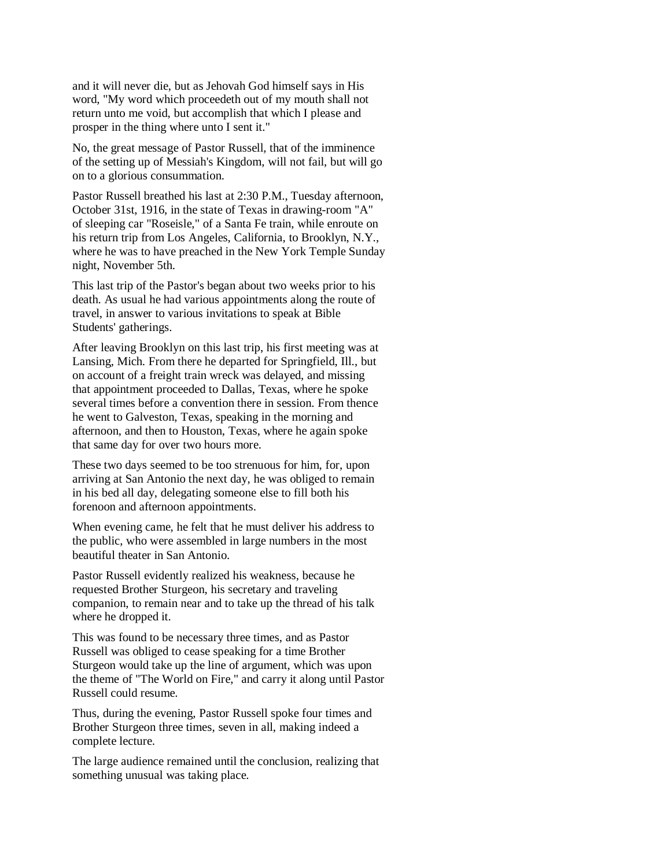and it will never die, but as Jehovah God himself says in His word, "My word which proceedeth out of my mouth shall not return unto me void, but accomplish that which I please and prosper in the thing where unto I sent it."

No, the great message of Pastor Russell, that of the imminence of the setting up of Messiah's Kingdom, will not fail, but will go on to a glorious consummation.

Pastor Russell breathed his last at 2:30 P.M., Tuesday afternoon, October 31st, 1916, in the state of Texas in drawing-room "A" of sleeping car "Roseisle," of a Santa Fe train, while enroute on his return trip from Los Angeles, California, to Brooklyn, N.Y., where he was to have preached in the New York Temple Sunday night, November 5th.

This last trip of the Pastor's began about two weeks prior to his death. As usual he had various appointments along the route of travel, in answer to various invitations to speak at Bible Students' gatherings.

After leaving Brooklyn on this last trip, his first meeting was at Lansing, Mich. From there he departed for Springfield, Ill., but on account of a freight train wreck was delayed, and missing that appointment proceeded to Dallas, Texas, where he spoke several times before a convention there in session. From thence he went to Galveston, Texas, speaking in the morning and afternoon, and then to Houston, Texas, where he again spoke that same day for over two hours more.

These two days seemed to be too strenuous for him, for, upon arriving at San Antonio the next day, he was obliged to remain in his bed all day, delegating someone else to fill both his forenoon and afternoon appointments.

When evening came, he felt that he must deliver his address to the public, who were assembled in large numbers in the most beautiful theater in San Antonio.

Pastor Russell evidently realized his weakness, because he requested Brother Sturgeon, his secretary and traveling companion, to remain near and to take up the thread of his talk where he dropped it.

This was found to be necessary three times, and as Pastor Russell was obliged to cease speaking for a time Brother Sturgeon would take up the line of argument, which was upon the theme of "The World on Fire," and carry it along until Pastor Russell could resume.

Thus, during the evening, Pastor Russell spoke four times and Brother Sturgeon three times, seven in all, making indeed a complete lecture.

The large audience remained until the conclusion, realizing that something unusual was taking place.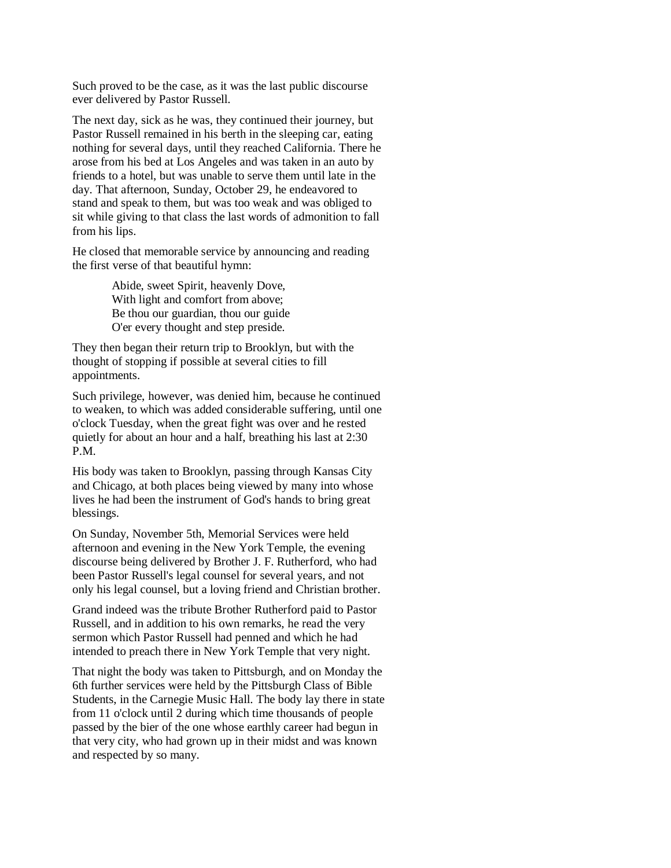Such proved to be the case, as it was the last public discourse ever delivered by Pastor Russell.

The next day, sick as he was, they continued their journey, but Pastor Russell remained in his berth in the sleeping car, eating nothing for several days, until they reached California. There he arose from his bed at Los Angeles and was taken in an auto by friends to a hotel, but was unable to serve them until late in the day. That afternoon, Sunday, October 29, he endeavored to stand and speak to them, but was too weak and was obliged to sit while giving to that class the last words of admonition to fall from his lips.

He closed that memorable service by announcing and reading the first verse of that beautiful hymn:

> Abide, sweet Spirit, heavenly Dove, With light and comfort from above; Be thou our guardian, thou our guide O'er every thought and step preside.

They then began their return trip to Brooklyn, but with the thought of stopping if possible at several cities to fill appointments.

Such privilege, however, was denied him, because he continued to weaken, to which was added considerable suffering, until one o'clock Tuesday, when the great fight was over and he rested quietly for about an hour and a half, breathing his last at 2:30 P.M.

His body was taken to Brooklyn, passing through Kansas City and Chicago, at both places being viewed by many into whose lives he had been the instrument of God's hands to bring great blessings.

On Sunday, November 5th, Memorial Services were held afternoon and evening in the New York Temple, the evening discourse being delivered by Brother J. F. Rutherford, who had been Pastor Russell's legal counsel for several years, and not only his legal counsel, but a loving friend and Christian brother.

Grand indeed was the tribute Brother Rutherford paid to Pastor Russell, and in addition to his own remarks, he read the very sermon which Pastor Russell had penned and which he had intended to preach there in New York Temple that very night.

That night the body was taken to Pittsburgh, and on Monday the 6th further services were held by the Pittsburgh Class of Bible Students, in the Carnegie Music Hall. The body lay there in state from 11 o'clock until 2 during which time thousands of people passed by the bier of the one whose earthly career had begun in that very city, who had grown up in their midst and was known and respected by so many.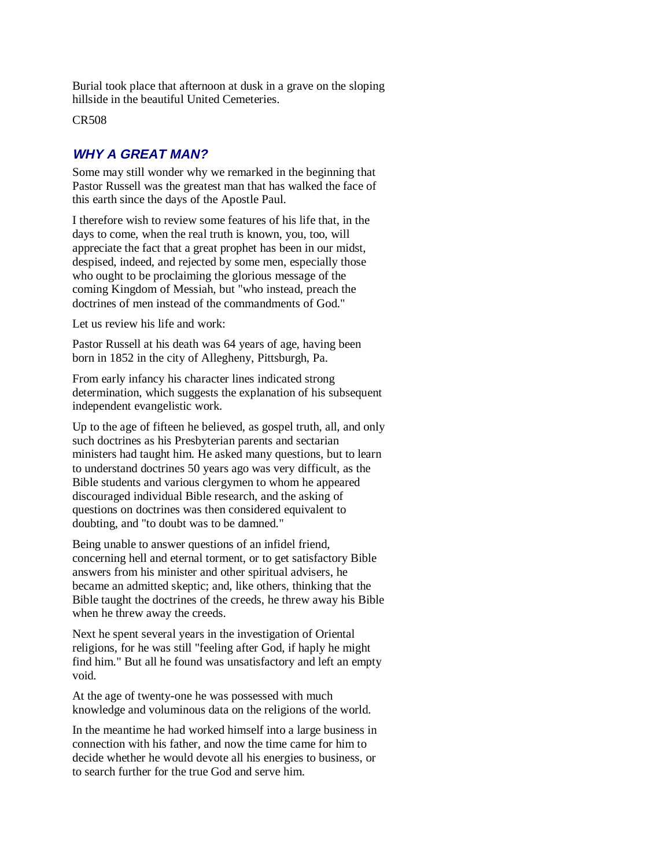Burial took place that afternoon at dusk in a grave on the sloping hillside in the beautiful United Cemeteries.

CR508

# **WHY A GREAT MAN?**

Some may still wonder why we remarked in the beginning that Pastor Russell was the greatest man that has walked the face of this earth since the days of the Apostle Paul.

I therefore wish to review some features of his life that, in the days to come, when the real truth is known, you, too, will appreciate the fact that a great prophet has been in our midst, despised, indeed, and rejected by some men, especially those who ought to be proclaiming the glorious message of the coming Kingdom of Messiah, but "who instead, preach the doctrines of men instead of the commandments of God."

Let us review his life and work:

Pastor Russell at his death was 64 years of age, having been born in 1852 in the city of Allegheny, Pittsburgh, Pa.

From early infancy his character lines indicated strong determination, which suggests the explanation of his subsequent independent evangelistic work.

Up to the age of fifteen he believed, as gospel truth, all, and only such doctrines as his Presbyterian parents and sectarian ministers had taught him. He asked many questions, but to learn to understand doctrines 50 years ago was very difficult, as the Bible students and various clergymen to whom he appeared discouraged individual Bible research, and the asking of questions on doctrines was then considered equivalent to doubting, and "to doubt was to be damned."

Being unable to answer questions of an infidel friend, concerning hell and eternal torment, or to get satisfactory Bible answers from his minister and other spiritual advisers, he became an admitted skeptic; and, like others, thinking that the Bible taught the doctrines of the creeds, he threw away his Bible when he threw away the creeds.

Next he spent several years in the investigation of Oriental religions, for he was still "feeling after God, if haply he might find him." But all he found was unsatisfactory and left an empty void.

At the age of twenty-one he was possessed with much knowledge and voluminous data on the religions of the world.

In the meantime he had worked himself into a large business in connection with his father, and now the time came for him to decide whether he would devote all his energies to business, or to search further for the true God and serve him.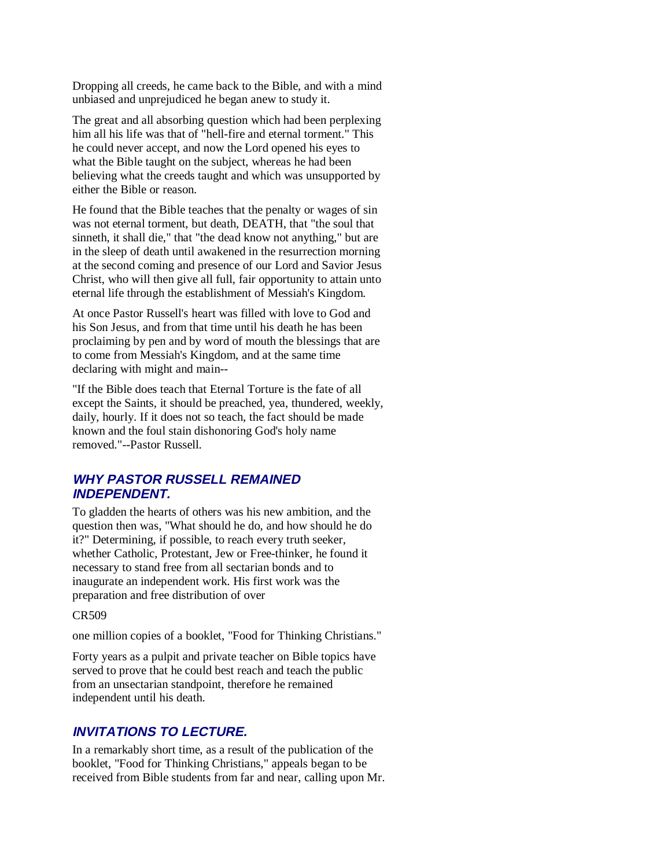Dropping all creeds, he came back to the Bible, and with a mind unbiased and unprejudiced he began anew to study it.

The great and all absorbing question which had been perplexing him all his life was that of "hell-fire and eternal torment." This he could never accept, and now the Lord opened his eyes to what the Bible taught on the subject, whereas he had been believing what the creeds taught and which was unsupported by either the Bible or reason.

He found that the Bible teaches that the penalty or wages of sin was not eternal torment, but death, DEATH, that "the soul that sinneth, it shall die," that "the dead know not anything," but are in the sleep of death until awakened in the resurrection morning at the second coming and presence of our Lord and Savior Jesus Christ, who will then give all full, fair opportunity to attain unto eternal life through the establishment of Messiah's Kingdom.

At once Pastor Russell's heart was filled with love to God and his Son Jesus, and from that time until his death he has been proclaiming by pen and by word of mouth the blessings that are to come from Messiah's Kingdom, and at the same time declaring with might and main--

"If the Bible does teach that Eternal Torture is the fate of all except the Saints, it should be preached, yea, thundered, weekly, daily, hourly. If it does not so teach, the fact should be made known and the foul stain dishonoring God's holy name removed."--Pastor Russell.

## **WHY PASTOR RUSSELL REMAINED INDEPENDENT.**

To gladden the hearts of others was his new ambition, and the question then was, "What should he do, and how should he do it?" Determining, if possible, to reach every truth seeker, whether Catholic, Protestant, Jew or Free-thinker, he found it necessary to stand free from all sectarian bonds and to inaugurate an independent work. His first work was the preparation and free distribution of over

#### CR509

one million copies of a booklet, "Food for Thinking Christians."

Forty years as a pulpit and private teacher on Bible topics have served to prove that he could best reach and teach the public from an unsectarian standpoint, therefore he remained independent until his death.

## **INVITATIONS TO LECTURE.**

In a remarkably short time, as a result of the publication of the booklet, "Food for Thinking Christians," appeals began to be received from Bible students from far and near, calling upon Mr.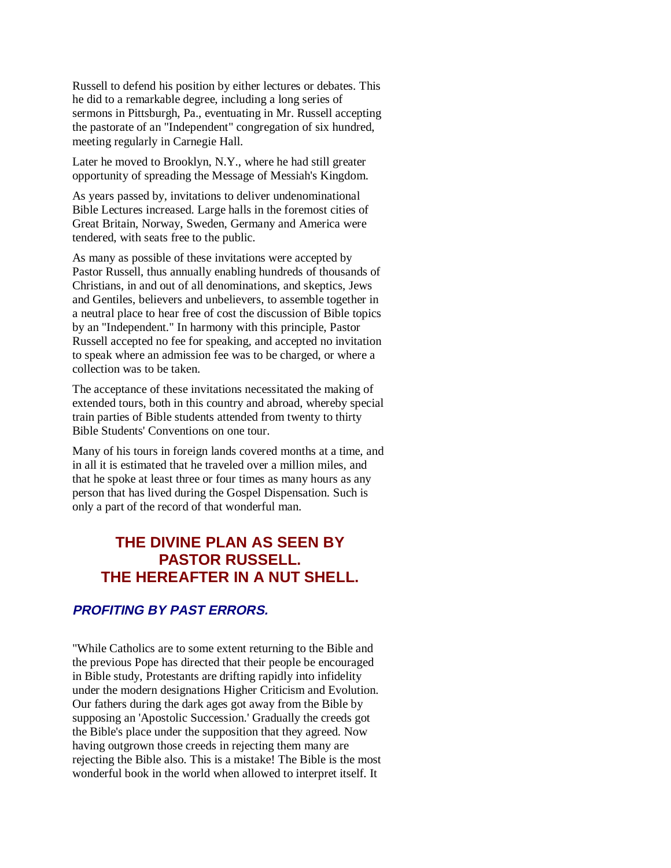Russell to defend his position by either lectures or debates. This he did to a remarkable degree, including a long series of sermons in Pittsburgh, Pa., eventuating in Mr. Russell accepting the pastorate of an "Independent" congregation of six hundred, meeting regularly in Carnegie Hall.

Later he moved to Brooklyn, N.Y., where he had still greater opportunity of spreading the Message of Messiah's Kingdom.

As years passed by, invitations to deliver undenominational Bible Lectures increased. Large halls in the foremost cities of Great Britain, Norway, Sweden, Germany and America were tendered, with seats free to the public.

As many as possible of these invitations were accepted by Pastor Russell, thus annually enabling hundreds of thousands of Christians, in and out of all denominations, and skeptics, Jews and Gentiles, believers and unbelievers, to assemble together in a neutral place to hear free of cost the discussion of Bible topics by an "Independent." In harmony with this principle, Pastor Russell accepted no fee for speaking, and accepted no invitation to speak where an admission fee was to be charged, or where a collection was to be taken.

The acceptance of these invitations necessitated the making of extended tours, both in this country and abroad, whereby special train parties of Bible students attended from twenty to thirty Bible Students' Conventions on one tour.

Many of his tours in foreign lands covered months at a time, and in all it is estimated that he traveled over a million miles, and that he spoke at least three or four times as many hours as any person that has lived during the Gospel Dispensation. Such is only a part of the record of that wonderful man.

# **THE DIVINE PLAN AS SEEN BY PASTOR RUSSELL. THE HEREAFTER IN A NUT SHELL.**

# **PROFITING BY PAST ERRORS.**

"While Catholics are to some extent returning to the Bible and the previous Pope has directed that their people be encouraged in Bible study, Protestants are drifting rapidly into infidelity under the modern designations Higher Criticism and Evolution. Our fathers during the dark ages got away from the Bible by supposing an 'Apostolic Succession.' Gradually the creeds got the Bible's place under the supposition that they agreed. Now having outgrown those creeds in rejecting them many are rejecting the Bible also. This is a mistake! The Bible is the most wonderful book in the world when allowed to interpret itself. It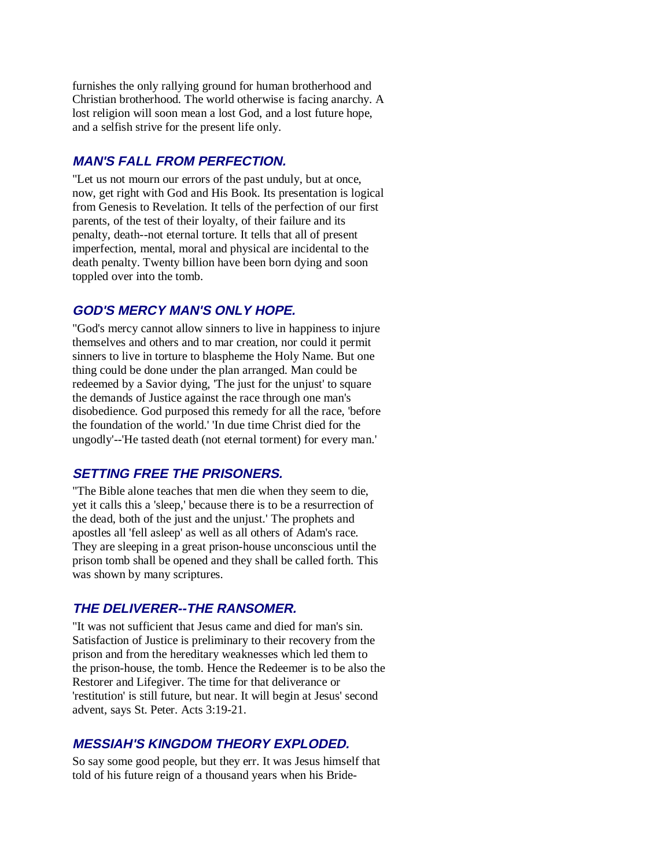furnishes the only rallying ground for human brotherhood and Christian brotherhood. The world otherwise is facing anarchy. A lost religion will soon mean a lost God, and a lost future hope, and a selfish strive for the present life only.

## **MAN'S FALL FROM PERFECTION.**

"Let us not mourn our errors of the past unduly, but at once, now, get right with God and His Book. Its presentation is logical from Genesis to Revelation. It tells of the perfection of our first parents, of the test of their loyalty, of their failure and its penalty, death--not eternal torture. It tells that all of present imperfection, mental, moral and physical are incidental to the death penalty. Twenty billion have been born dying and soon toppled over into the tomb.

#### **GOD'S MERCY MAN'S ONLY HOPE.**

"God's mercy cannot allow sinners to live in happiness to injure themselves and others and to mar creation, nor could it permit sinners to live in torture to blaspheme the Holy Name. But one thing could be done under the plan arranged. Man could be redeemed by a Savior dying, 'The just for the unjust' to square the demands of Justice against the race through one man's disobedience. God purposed this remedy for all the race, 'before the foundation of the world.' 'In due time Christ died for the ungodly'--'He tasted death (not eternal torment) for every man.'

## **SETTING FREE THE PRISONERS.**

"The Bible alone teaches that men die when they seem to die, yet it calls this a 'sleep,' because there is to be a resurrection of the dead, both of the just and the unjust.' The prophets and apostles all 'fell asleep' as well as all others of Adam's race. They are sleeping in a great prison-house unconscious until the prison tomb shall be opened and they shall be called forth. This was shown by many scriptures.

## **THE DELIVERER--THE RANSOMER.**

"It was not sufficient that Jesus came and died for man's sin. Satisfaction of Justice is preliminary to their recovery from the prison and from the hereditary weaknesses which led them to the prison-house, the tomb. Hence the Redeemer is to be also the Restorer and Lifegiver. The time for that deliverance or 'restitution' is still future, but near. It will begin at Jesus' second advent, says St. Peter. Acts 3:19-21.

#### **MESSIAH'S KINGDOM THEORY EXPLODED.**

So say some good people, but they err. It was Jesus himself that told of his future reign of a thousand years when his Bride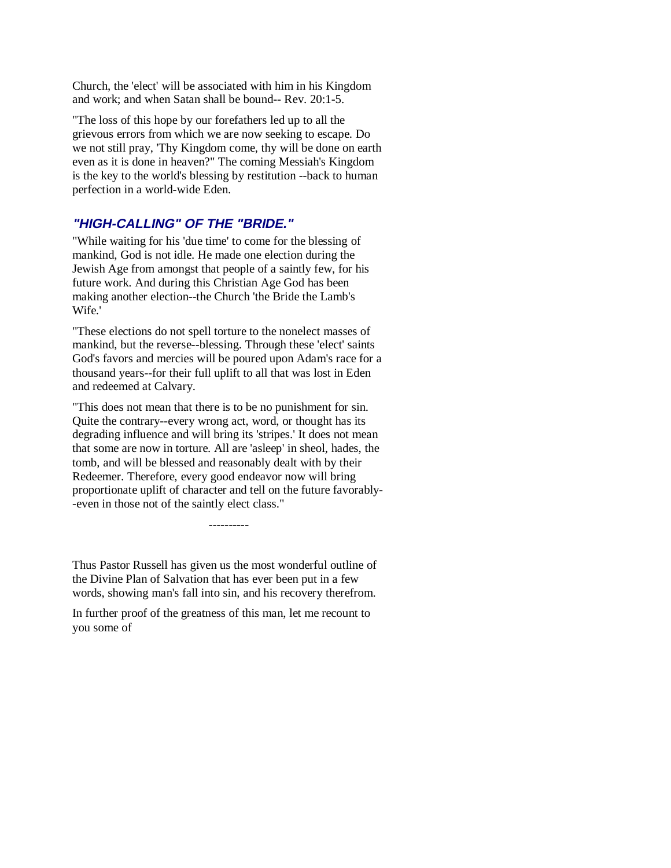Church, the 'elect' will be associated with him in his Kingdom and work; and when Satan shall be bound-- Rev. 20:1-5.

"The loss of this hope by our forefathers led up to all the grievous errors from which we are now seeking to escape. Do we not still pray, 'Thy Kingdom come, thy will be done on earth even as it is done in heaven?" The coming Messiah's Kingdom is the key to the world's blessing by restitution --back to human perfection in a world-wide Eden.

## **"HIGH-CALLING" OF THE "BRIDE."**

"While waiting for his 'due time' to come for the blessing of mankind, God is not idle. He made one election during the Jewish Age from amongst that people of a saintly few, for his future work. And during this Christian Age God has been making another election--the Church 'the Bride the Lamb's Wife.'

"These elections do not spell torture to the nonelect masses of mankind, but the reverse--blessing. Through these 'elect' saints God's favors and mercies will be poured upon Adam's race for a thousand years--for their full uplift to all that was lost in Eden and redeemed at Calvary.

"This does not mean that there is to be no punishment for sin. Quite the contrary--every wrong act, word, or thought has its degrading influence and will bring its 'stripes.' It does not mean that some are now in torture. All are 'asleep' in sheol, hades, the tomb, and will be blessed and reasonably dealt with by their Redeemer. Therefore, every good endeavor now will bring proportionate uplift of character and tell on the future favorably- -even in those not of the saintly elect class."

Thus Pastor Russell has given us the most wonderful outline of the Divine Plan of Salvation that has ever been put in a few words, showing man's fall into sin, and his recovery therefrom.

----------

In further proof of the greatness of this man, let me recount to you some of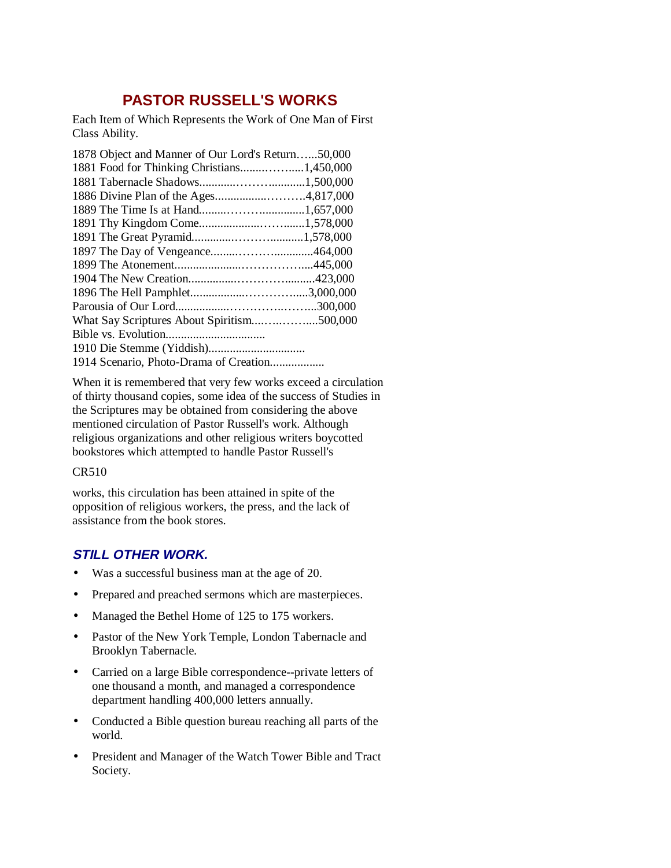# **PASTOR RUSSELL'S WORKS**

Each Item of Which Represents the Work of One Man of First Class Ability.

| 1878 Object and Manner of Our Lord's Return50,000 |  |
|---------------------------------------------------|--|
| 1881 Food for Thinking Christians1,450,000        |  |
|                                                   |  |
|                                                   |  |
|                                                   |  |
| 1891 Thy Kingdom Come1,578,000                    |  |
|                                                   |  |
|                                                   |  |
|                                                   |  |
|                                                   |  |
|                                                   |  |
|                                                   |  |
|                                                   |  |
|                                                   |  |
|                                                   |  |
| 1914 Scenario, Photo-Drama of Creation            |  |
|                                                   |  |

When it is remembered that very few works exceed a circulation of thirty thousand copies, some idea of the success of Studies in the Scriptures may be obtained from considering the above mentioned circulation of Pastor Russell's work. Although religious organizations and other religious writers boycotted bookstores which attempted to handle Pastor Russell's

#### CR510

works, this circulation has been attained in spite of the opposition of religious workers, the press, and the lack of assistance from the book stores.

# **STILL OTHER WORK.**

- Was a successful business man at the age of 20.
- Prepared and preached sermons which are masterpieces.
- Managed the Bethel Home of 125 to 175 workers.
- Pastor of the New York Temple, London Tabernacle and Brooklyn Tabernacle.
- Carried on a large Bible correspondence--private letters of one thousand a month, and managed a correspondence department handling 400,000 letters annually.
- Conducted a Bible question bureau reaching all parts of the world.
- President and Manager of the Watch Tower Bible and Tract Society.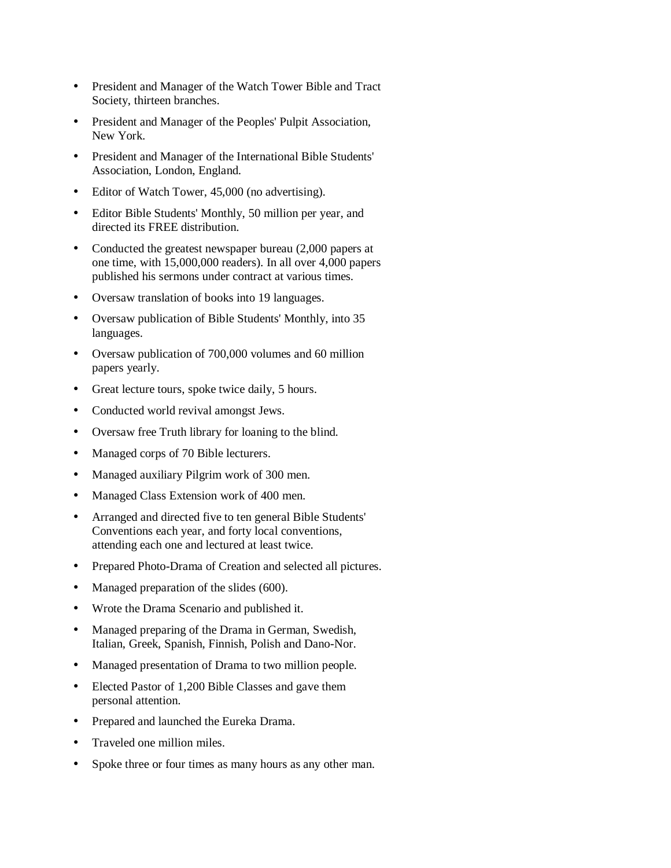- President and Manager of the Watch Tower Bible and Tract Society, thirteen branches.
- President and Manager of the Peoples' Pulpit Association, New York.
- President and Manager of the International Bible Students' Association, London, England.
- Editor of Watch Tower, 45,000 (no advertising).
- Editor Bible Students' Monthly, 50 million per year, and directed its FREE distribution.
- Conducted the greatest newspaper bureau (2,000 papers at one time, with 15,000,000 readers). In all over 4,000 papers published his sermons under contract at various times.
- Oversaw translation of books into 19 languages.
- Oversaw publication of Bible Students' Monthly, into 35 languages.
- Oversaw publication of 700,000 volumes and 60 million papers yearly.
- Great lecture tours, spoke twice daily, 5 hours.
- Conducted world revival amongst Jews.
- Oversaw free Truth library for loaning to the blind.
- Managed corps of 70 Bible lecturers.
- Managed auxiliary Pilgrim work of 300 men.
- Managed Class Extension work of 400 men.
- Arranged and directed five to ten general Bible Students' Conventions each year, and forty local conventions, attending each one and lectured at least twice.
- Prepared Photo-Drama of Creation and selected all pictures.
- Managed preparation of the slides (600).
- Wrote the Drama Scenario and published it.
- Managed preparing of the Drama in German, Swedish, Italian, Greek, Spanish, Finnish, Polish and Dano-Nor.
- Managed presentation of Drama to two million people.
- Elected Pastor of 1,200 Bible Classes and gave them personal attention.
- Prepared and launched the Eureka Drama.
- Traveled one million miles.
- Spoke three or four times as many hours as any other man.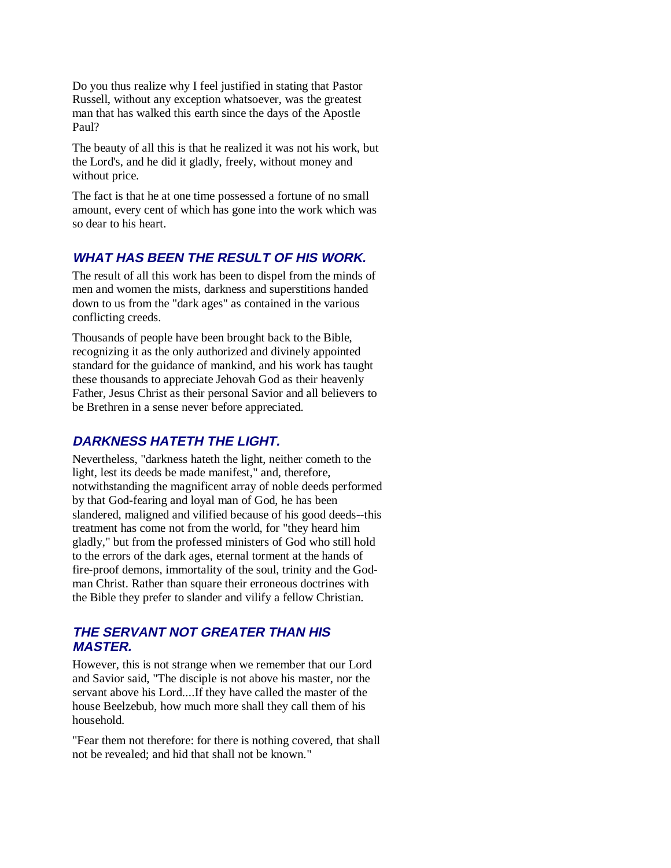Do you thus realize why I feel justified in stating that Pastor Russell, without any exception whatsoever, was the greatest man that has walked this earth since the days of the Apostle Paul?

The beauty of all this is that he realized it was not his work, but the Lord's, and he did it gladly, freely, without money and without price.

The fact is that he at one time possessed a fortune of no small amount, every cent of which has gone into the work which was so dear to his heart.

## **WHAT HAS BEEN THE RESULT OF HIS WORK.**

The result of all this work has been to dispel from the minds of men and women the mists, darkness and superstitions handed down to us from the "dark ages" as contained in the various conflicting creeds.

Thousands of people have been brought back to the Bible, recognizing it as the only authorized and divinely appointed standard for the guidance of mankind, and his work has taught these thousands to appreciate Jehovah God as their heavenly Father, Jesus Christ as their personal Savior and all believers to be Brethren in a sense never before appreciated.

## **DARKNESS HATETH THE LIGHT.**

Nevertheless, "darkness hateth the light, neither cometh to the light, lest its deeds be made manifest," and, therefore, notwithstanding the magnificent array of noble deeds performed by that God-fearing and loyal man of God, he has been slandered, maligned and vilified because of his good deeds--this treatment has come not from the world, for "they heard him gladly," but from the professed ministers of God who still hold to the errors of the dark ages, eternal torment at the hands of fire-proof demons, immortality of the soul, trinity and the Godman Christ. Rather than square their erroneous doctrines with the Bible they prefer to slander and vilify a fellow Christian.

## **THE SERVANT NOT GREATER THAN HIS MASTER.**

However, this is not strange when we remember that our Lord and Savior said, "The disciple is not above his master, nor the servant above his Lord....If they have called the master of the house Beelzebub, how much more shall they call them of his household.

"Fear them not therefore: for there is nothing covered, that shall not be revealed; and hid that shall not be known."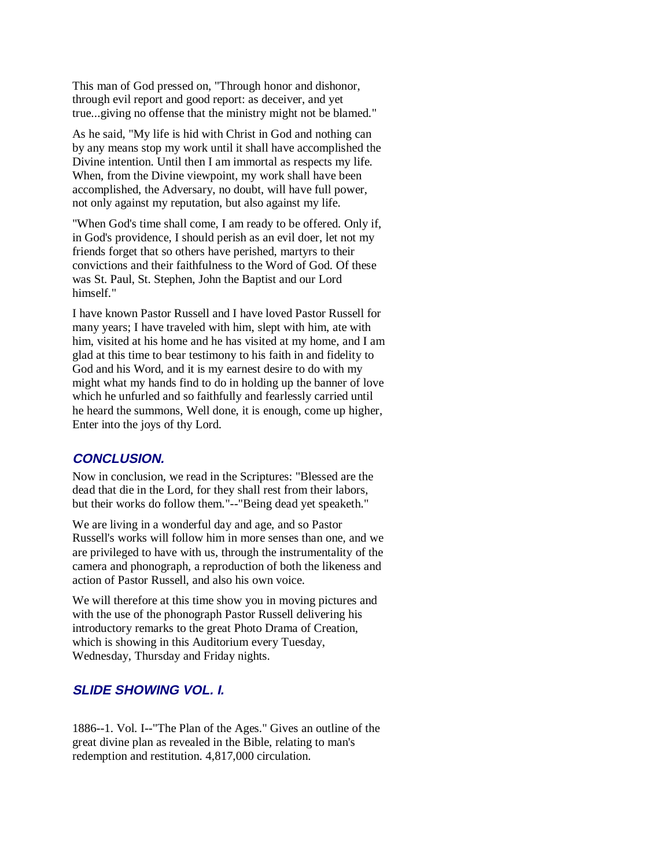This man of God pressed on, "Through honor and dishonor, through evil report and good report: as deceiver, and yet true...giving no offense that the ministry might not be blamed."

As he said, "My life is hid with Christ in God and nothing can by any means stop my work until it shall have accomplished the Divine intention. Until then I am immortal as respects my life. When, from the Divine viewpoint, my work shall have been accomplished, the Adversary, no doubt, will have full power, not only against my reputation, but also against my life.

"When God's time shall come, I am ready to be offered. Only if, in God's providence, I should perish as an evil doer, let not my friends forget that so others have perished, martyrs to their convictions and their faithfulness to the Word of God. Of these was St. Paul, St. Stephen, John the Baptist and our Lord himself."

I have known Pastor Russell and I have loved Pastor Russell for many years; I have traveled with him, slept with him, ate with him, visited at his home and he has visited at my home, and I am glad at this time to bear testimony to his faith in and fidelity to God and his Word, and it is my earnest desire to do with my might what my hands find to do in holding up the banner of love which he unfurled and so faithfully and fearlessly carried until he heard the summons, Well done, it is enough, come up higher, Enter into the joys of thy Lord.

## **CONCLUSION.**

Now in conclusion, we read in the Scriptures: "Blessed are the dead that die in the Lord, for they shall rest from their labors, but their works do follow them."--"Being dead yet speaketh."

We are living in a wonderful day and age, and so Pastor Russell's works will follow him in more senses than one, and we are privileged to have with us, through the instrumentality of the camera and phonograph, a reproduction of both the likeness and action of Pastor Russell, and also his own voice.

We will therefore at this time show you in moving pictures and with the use of the phonograph Pastor Russell delivering his introductory remarks to the great Photo Drama of Creation, which is showing in this Auditorium every Tuesday, Wednesday, Thursday and Friday nights.

## **SLIDE SHOWING VOL. I.**

1886--1. Vol. I--"The Plan of the Ages." Gives an outline of the great divine plan as revealed in the Bible, relating to man's redemption and restitution. 4,817,000 circulation.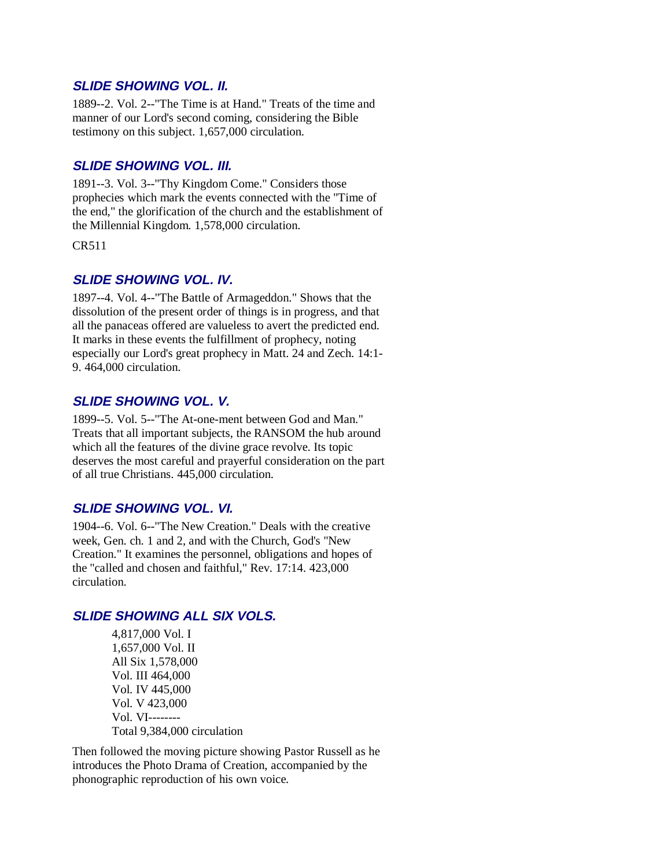## **SLIDE SHOWING VOL. II.**

1889--2. Vol. 2--"The Time is at Hand." Treats of the time and manner of our Lord's second coming, considering the Bible testimony on this subject. 1,657,000 circulation.

## **SLIDE SHOWING VOL. III.**

1891--3. Vol. 3--"Thy Kingdom Come." Considers those prophecies which mark the events connected with the "Time of the end," the glorification of the church and the establishment of the Millennial Kingdom. 1,578,000 circulation.

CR511

## **SLIDE SHOWING VOL. IV.**

1897--4. Vol. 4--"The Battle of Armageddon." Shows that the dissolution of the present order of things is in progress, and that all the panaceas offered are valueless to avert the predicted end. It marks in these events the fulfillment of prophecy, noting especially our Lord's great prophecy in Matt. 24 and Zech. 14:1- 9. 464,000 circulation.

## **SLIDE SHOWING VOL. V.**

1899--5. Vol. 5--"The At-one-ment between God and Man." Treats that all important subjects, the RANSOM the hub around which all the features of the divine grace revolve. Its topic deserves the most careful and prayerful consideration on the part of all true Christians. 445,000 circulation.

## **SLIDE SHOWING VOL. VI.**

1904--6. Vol. 6--"The New Creation." Deals with the creative week, Gen. ch. 1 and 2, and with the Church, God's "New Creation." It examines the personnel, obligations and hopes of the "called and chosen and faithful," Rev. 17:14. 423,000 circulation.

# **SLIDE SHOWING ALL SIX VOLS.**

4,817,000 Vol. I 1,657,000 Vol. II All Six 1,578,000 Vol. III 464,000 Vol. IV 445,000 Vol. V 423,000 Vol. VI-------- Total 9,384,000 circulation

Then followed the moving picture showing Pastor Russell as he introduces the Photo Drama of Creation, accompanied by the phonographic reproduction of his own voice.